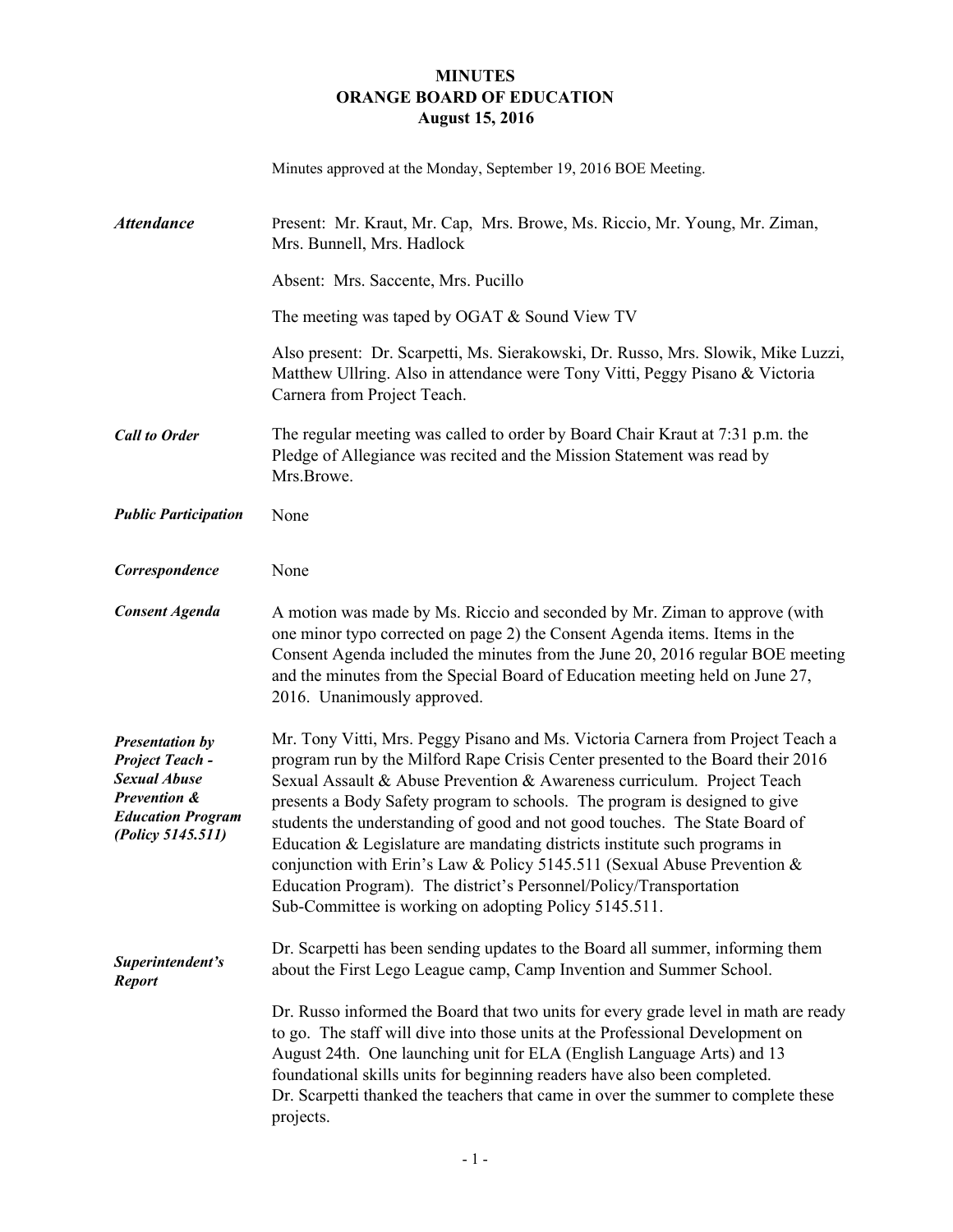## **MINUTES ORANGE BOARD OF EDUCATION August 15, 2016**

| Minutes approved at the Monday, September 19, 2016 BOE Meeting. |  |  |
|-----------------------------------------------------------------|--|--|
|                                                                 |  |  |

| <b>Attendance</b>                                                                                                                        | Present: Mr. Kraut, Mr. Cap, Mrs. Browe, Ms. Riccio, Mr. Young, Mr. Ziman,<br>Mrs. Bunnell, Mrs. Hadlock                                                                                                                                                                                                                                                                                                                                                                                                                                                                                                                                                                                            |
|------------------------------------------------------------------------------------------------------------------------------------------|-----------------------------------------------------------------------------------------------------------------------------------------------------------------------------------------------------------------------------------------------------------------------------------------------------------------------------------------------------------------------------------------------------------------------------------------------------------------------------------------------------------------------------------------------------------------------------------------------------------------------------------------------------------------------------------------------------|
|                                                                                                                                          | Absent: Mrs. Saccente, Mrs. Pucillo                                                                                                                                                                                                                                                                                                                                                                                                                                                                                                                                                                                                                                                                 |
|                                                                                                                                          | The meeting was taped by OGAT & Sound View TV                                                                                                                                                                                                                                                                                                                                                                                                                                                                                                                                                                                                                                                       |
|                                                                                                                                          | Also present: Dr. Scarpetti, Ms. Sierakowski, Dr. Russo, Mrs. Slowik, Mike Luzzi,<br>Matthew Ullring. Also in attendance were Tony Vitti, Peggy Pisano & Victoria<br>Carnera from Project Teach.                                                                                                                                                                                                                                                                                                                                                                                                                                                                                                    |
| <b>Call to Order</b>                                                                                                                     | The regular meeting was called to order by Board Chair Kraut at 7:31 p.m. the<br>Pledge of Allegiance was recited and the Mission Statement was read by<br>Mrs.Browe.                                                                                                                                                                                                                                                                                                                                                                                                                                                                                                                               |
| <b>Public Participation</b>                                                                                                              | None                                                                                                                                                                                                                                                                                                                                                                                                                                                                                                                                                                                                                                                                                                |
| Correspondence                                                                                                                           | None                                                                                                                                                                                                                                                                                                                                                                                                                                                                                                                                                                                                                                                                                                |
| <b>Consent Agenda</b>                                                                                                                    | A motion was made by Ms. Riccio and seconded by Mr. Ziman to approve (with<br>one minor typo corrected on page 2) the Consent Agenda items. Items in the<br>Consent Agenda included the minutes from the June 20, 2016 regular BOE meeting<br>and the minutes from the Special Board of Education meeting held on June 27,<br>2016. Unanimously approved.                                                                                                                                                                                                                                                                                                                                           |
| <b>Presentation by</b><br><b>Project Teach -</b><br><b>Sexual Abuse</b><br>Prevention &<br><b>Education Program</b><br>(Policy 5145.511) | Mr. Tony Vitti, Mrs. Peggy Pisano and Ms. Victoria Carnera from Project Teach a<br>program run by the Milford Rape Crisis Center presented to the Board their 2016<br>Sexual Assault & Abuse Prevention & Awareness curriculum. Project Teach<br>presents a Body Safety program to schools. The program is designed to give<br>students the understanding of good and not good touches. The State Board of<br>Education & Legislature are mandating districts institute such programs in<br>conjunction with Erin's Law & Policy 5145.511 (Sexual Abuse Prevention &<br>Education Program). The district's Personnel/Policy/Transportation<br>Sub-Committee is working on adopting Policy 5145.511. |
| Superintendent's<br><b>Report</b>                                                                                                        | Dr. Scarpetti has been sending updates to the Board all summer, informing them<br>about the First Lego League camp, Camp Invention and Summer School.                                                                                                                                                                                                                                                                                                                                                                                                                                                                                                                                               |
|                                                                                                                                          | Dr. Russo informed the Board that two units for every grade level in math are ready<br>to go. The staff will dive into those units at the Professional Development on<br>August 24th. One launching unit for ELA (English Language Arts) and 13<br>foundational skills units for beginning readers have also been completed.<br>Dr. Scarpetti thanked the teachers that came in over the summer to complete these<br>projects.                                                                                                                                                                                                                                                                      |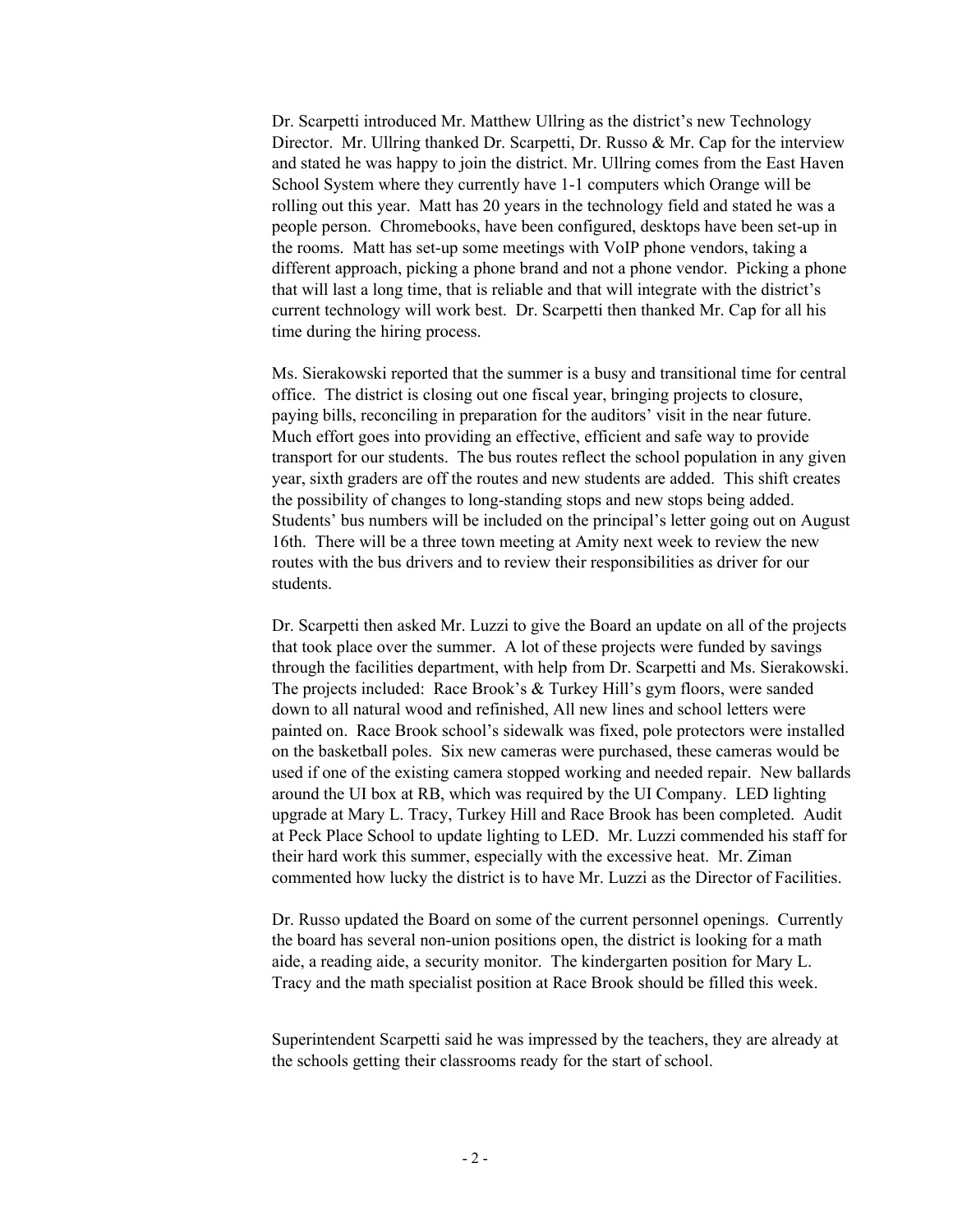Dr. Scarpetti introduced Mr. Matthew Ullring as the district's new Technology Director. Mr. Ullring thanked Dr. Scarpetti, Dr. Russo & Mr. Cap for the interview and stated he was happy to join the district. Mr. Ullring comes from the East Haven School System where they currently have 1-1 computers which Orange will be rolling out this year. Matt has 20 years in the technology field and stated he was a people person. Chromebooks, have been configured, desktops have been set-up in the rooms. Matt has set-up some meetings with VoIP phone vendors, taking a different approach, picking a phone brand and not a phone vendor. Picking a phone that will last a long time, that is reliable and that will integrate with the district's current technology will work best. Dr. Scarpetti then thanked Mr. Cap for all his time during the hiring process.

Ms. Sierakowski reported that the summer is a busy and transitional time for central office. The district is closing out one fiscal year, bringing projects to closure, paying bills, reconciling in preparation for the auditors' visit in the near future. Much effort goes into providing an effective, efficient and safe way to provide transport for our students. The bus routes reflect the school population in any given year, sixth graders are off the routes and new students are added. This shift creates the possibility of changes to long-standing stops and new stops being added. Students' bus numbers will be included on the principal's letter going out on August 16th. There will be a three town meeting at Amity next week to review the new routes with the bus drivers and to review their responsibilities as driver for our students.

Dr. Scarpetti then asked Mr. Luzzi to give the Board an update on all of the projects that took place over the summer. A lot of these projects were funded by savings through the facilities department, with help from Dr. Scarpetti and Ms. Sierakowski. The projects included: Race Brook's & Turkey Hill's gym floors, were sanded down to all natural wood and refinished, All new lines and school letters were painted on. Race Brook school's sidewalk was fixed, pole protectors were installed on the basketball poles. Six new cameras were purchased, these cameras would be used if one of the existing camera stopped working and needed repair. New ballards around the UI box at RB, which was required by the UI Company. LED lighting upgrade at Mary L. Tracy, Turkey Hill and Race Brook has been completed. Audit at Peck Place School to update lighting to LED. Mr. Luzzi commended his staff for their hard work this summer, especially with the excessive heat. Mr. Ziman commented how lucky the district is to have Mr. Luzzi as the Director of Facilities.

Dr. Russo updated the Board on some of the current personnel openings. Currently the board has several non-union positions open, the district is looking for a math aide, a reading aide, a security monitor. The kindergarten position for Mary L. Tracy and the math specialist position at Race Brook should be filled this week.

Superintendent Scarpetti said he was impressed by the teachers, they are already at the schools getting their classrooms ready for the start of school.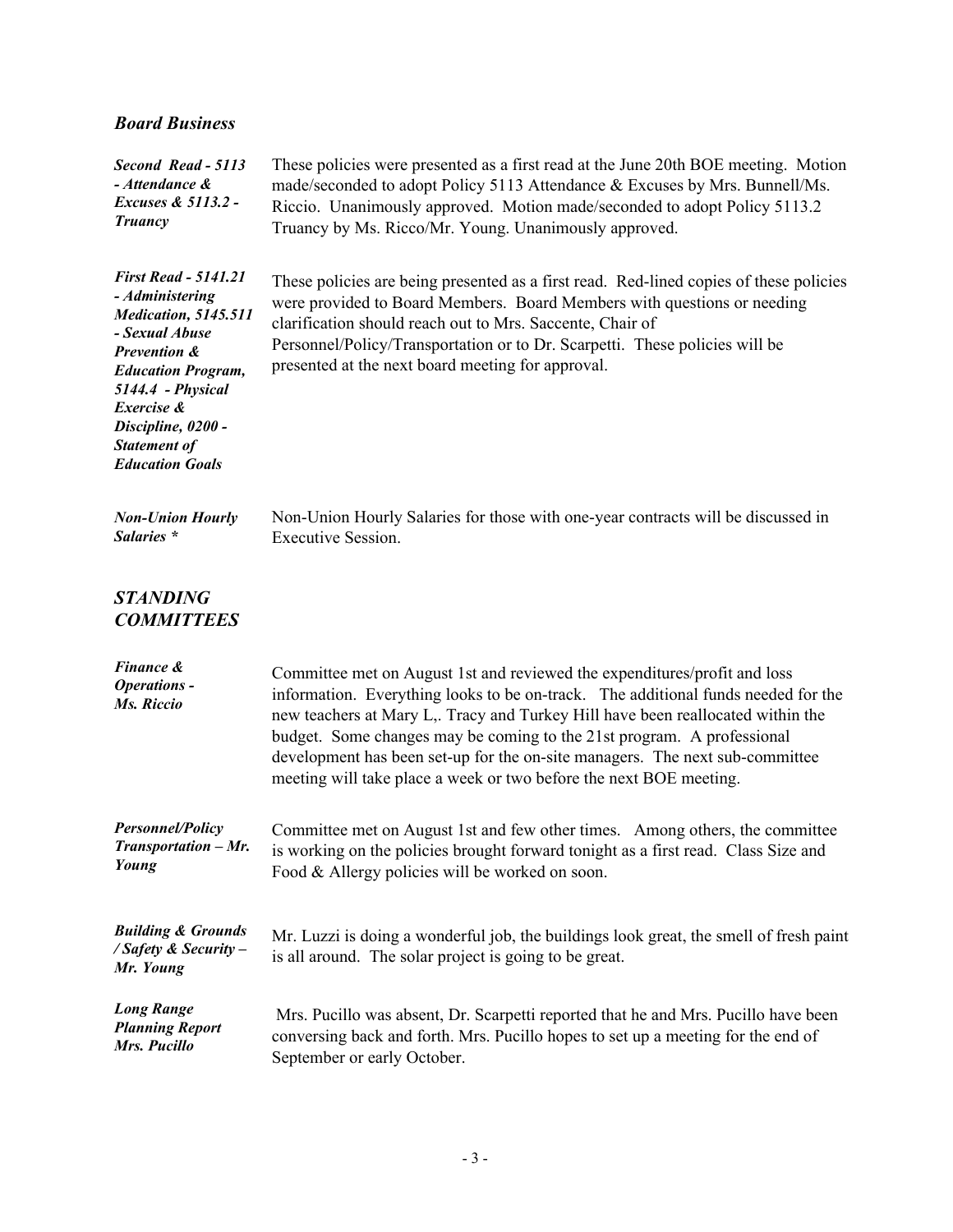## *Board Business*

| Second Read - 5113                                                                                                                                                                                                                                     | These policies were presented as a first read at the June 20th BOE meeting. Motion                                                                                                                                                                                                                                                                                                                                                                                                |
|--------------------------------------------------------------------------------------------------------------------------------------------------------------------------------------------------------------------------------------------------------|-----------------------------------------------------------------------------------------------------------------------------------------------------------------------------------------------------------------------------------------------------------------------------------------------------------------------------------------------------------------------------------------------------------------------------------------------------------------------------------|
| - Attendance &                                                                                                                                                                                                                                         | made/seconded to adopt Policy 5113 Attendance & Excuses by Mrs. Bunnell/Ms.                                                                                                                                                                                                                                                                                                                                                                                                       |
| Excuses & 5113.2 -                                                                                                                                                                                                                                     | Riccio. Unanimously approved. Motion made/seconded to adopt Policy 5113.2                                                                                                                                                                                                                                                                                                                                                                                                         |
| <b>Truancy</b>                                                                                                                                                                                                                                         | Truancy by Ms. Ricco/Mr. Young. Unanimously approved.                                                                                                                                                                                                                                                                                                                                                                                                                             |
| <b>First Read - 5141.21</b><br>- Administering<br><b>Medication, 5145.511</b><br>- Sexual Abuse<br>Prevention &<br><b>Education Program,</b><br>5144.4 - Physical<br>Exercise &<br>Discipline, 0200 -<br><b>Statement of</b><br><b>Education Goals</b> | These policies are being presented as a first read. Red-lined copies of these policies<br>were provided to Board Members. Board Members with questions or needing<br>clarification should reach out to Mrs. Saccente, Chair of<br>Personnel/Policy/Transportation or to Dr. Scarpetti. These policies will be<br>presented at the next board meeting for approval.                                                                                                                |
| <b>Non-Union Hourly</b>                                                                                                                                                                                                                                | Non-Union Hourly Salaries for those with one-year contracts will be discussed in                                                                                                                                                                                                                                                                                                                                                                                                  |
| Salaries *                                                                                                                                                                                                                                             | <b>Executive Session.</b>                                                                                                                                                                                                                                                                                                                                                                                                                                                         |
| <b>STANDING</b><br><b>COMMITTEES</b>                                                                                                                                                                                                                   |                                                                                                                                                                                                                                                                                                                                                                                                                                                                                   |
| Finance &<br><b>Operations -</b><br>Ms. Riccio                                                                                                                                                                                                         | Committee met on August 1st and reviewed the expenditures/profit and loss<br>information. Everything looks to be on-track. The additional funds needed for the<br>new teachers at Mary L,. Tracy and Turkey Hill have been reallocated within the<br>budget. Some changes may be coming to the 21st program. A professional<br>development has been set-up for the on-site managers. The next sub-committee<br>meeting will take place a week or two before the next BOE meeting. |
| <b>Personnel/Policy</b>                                                                                                                                                                                                                                | Committee met on August 1st and few other times. Among others, the committee                                                                                                                                                                                                                                                                                                                                                                                                      |
| Transportation - Mr.                                                                                                                                                                                                                                   | is working on the policies brought forward tonight as a first read. Class Size and                                                                                                                                                                                                                                                                                                                                                                                                |
| Young                                                                                                                                                                                                                                                  | Food & Allergy policies will be worked on soon.                                                                                                                                                                                                                                                                                                                                                                                                                                   |
| <b>Building &amp; Grounds</b><br>/ Safety & Security -<br>Mr. Young                                                                                                                                                                                    | Mr. Luzzi is doing a wonderful job, the buildings look great, the smell of fresh paint<br>is all around. The solar project is going to be great.                                                                                                                                                                                                                                                                                                                                  |
| <b>Long Range</b>                                                                                                                                                                                                                                      | Mrs. Pucillo was absent, Dr. Scarpetti reported that he and Mrs. Pucillo have been                                                                                                                                                                                                                                                                                                                                                                                                |
| <b>Planning Report</b>                                                                                                                                                                                                                                 | conversing back and forth. Mrs. Pucillo hopes to set up a meeting for the end of                                                                                                                                                                                                                                                                                                                                                                                                  |
| Mrs. Pucillo                                                                                                                                                                                                                                           | September or early October.                                                                                                                                                                                                                                                                                                                                                                                                                                                       |